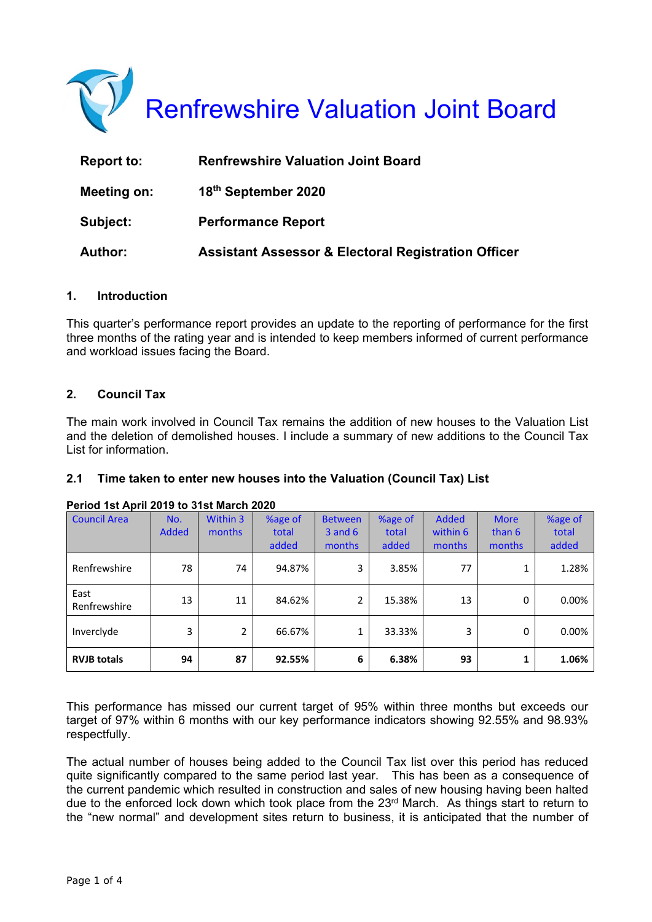

| Report to:     | <b>Renfrewshire Valuation Joint Board</b>                      |
|----------------|----------------------------------------------------------------|
| Meeting on:    | 18th September 2020                                            |
| Subject:       | <b>Performance Report</b>                                      |
| <b>Author:</b> | <b>Assistant Assessor &amp; Electoral Registration Officer</b> |

## **1. Introduction**

This quarter's performance report provides an update to the reporting of performance for the first three months of the rating year and is intended to keep members informed of current performance and workload issues facing the Board.

## **2. Council Tax**

The main work involved in Council Tax remains the addition of new houses to the Valuation List and the deletion of demolished houses. I include a summary of new additions to the Council Tax List for information.

## **2.1 Time taken to enter new houses into the Valuation (Council Tax) List**

| <b>Council Area</b>  | No.          | Within 3       | %age of | <b>Between</b> | %age of | <b>Added</b> | <b>More</b> | %age of |
|----------------------|--------------|----------------|---------|----------------|---------|--------------|-------------|---------|
|                      | <b>Added</b> | months         | total   | $3$ and $6$    | total   | within 6     | than 6      | total   |
|                      |              |                | added   | months         | added   | months       | months      | added   |
| Renfrewshire         | 78           | 74             | 94.87%  | 3              | 3.85%   | 77           |             | 1.28%   |
| East<br>Renfrewshire | 13           | 11             | 84.62%  | $\overline{2}$ | 15.38%  | 13           | 0           | 0.00%   |
| Inverclyde           | 3            | $\overline{2}$ | 66.67%  | 1              | 33.33%  | 3            | 0           | 0.00%   |
| <b>RVJB totals</b>   | 94           | 87             | 92.55%  | 6              | 6.38%   | 93           | 1           | 1.06%   |

#### **Period 1st April 2019 to 31st March 2020**

This performance has missed our current target of 95% within three months but exceeds our target of 97% within 6 months with our key performance indicators showing 92.55% and 98.93% respectfully.

The actual number of houses being added to the Council Tax list over this period has reduced quite significantly compared to the same period last year. This has been as a consequence of the current pandemic which resulted in construction and sales of new housing having been halted due to the enforced lock down which took place from the 23rd March. As things start to return to the "new normal" and development sites return to business, it is anticipated that the number of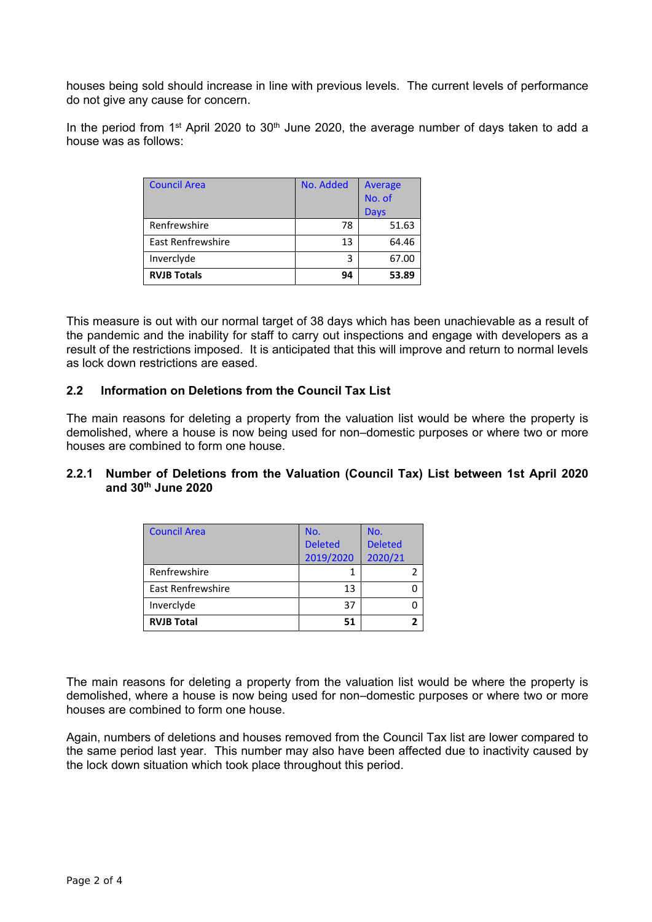houses being sold should increase in line with previous levels. The current levels of performance do not give any cause for concern.

In the period from 1<sup>st</sup> April 2020 to 30<sup>th</sup> June 2020, the average number of days taken to add a house was as follows:

| <b>Council Area</b>      | No. Added | Average     |  |
|--------------------------|-----------|-------------|--|
|                          |           | No. of      |  |
|                          |           | <b>Days</b> |  |
| Renfrewshire             | 78        | 51.63       |  |
| <b>East Renfrewshire</b> | 13        | 64.46       |  |
| Inverclyde               | 3         | 67.00       |  |
| <b>RVJB Totals</b>       | 94        | 53.89       |  |

This measure is out with our normal target of 38 days which has been unachievable as a result of the pandemic and the inability for staff to carry out inspections and engage with developers as a result of the restrictions imposed. It is anticipated that this will improve and return to normal levels as lock down restrictions are eased.

### **2.2 Information on Deletions from the Council Tax List**

The main reasons for deleting a property from the valuation list would be where the property is demolished, where a house is now being used for non–domestic purposes or where two or more houses are combined to form one house.

### **2.2.1 Number of Deletions from the Valuation (Council Tax) List between 1st April 2020 and 30th June 2020**

| <b>Council Area</b> | No.            | No.            |
|---------------------|----------------|----------------|
|                     | <b>Deleted</b> | <b>Deleted</b> |
|                     | 2019/2020      | 2020/21        |
| Renfrewshire        |                |                |
| East Renfrewshire   | 13             |                |
| Inverclyde          | 37             |                |
| <b>RVJB Total</b>   | 51             |                |

The main reasons for deleting a property from the valuation list would be where the property is demolished, where a house is now being used for non–domestic purposes or where two or more houses are combined to form one house.

Again, numbers of deletions and houses removed from the Council Tax list are lower compared to the same period last year. This number may also have been affected due to inactivity caused by the lock down situation which took place throughout this period.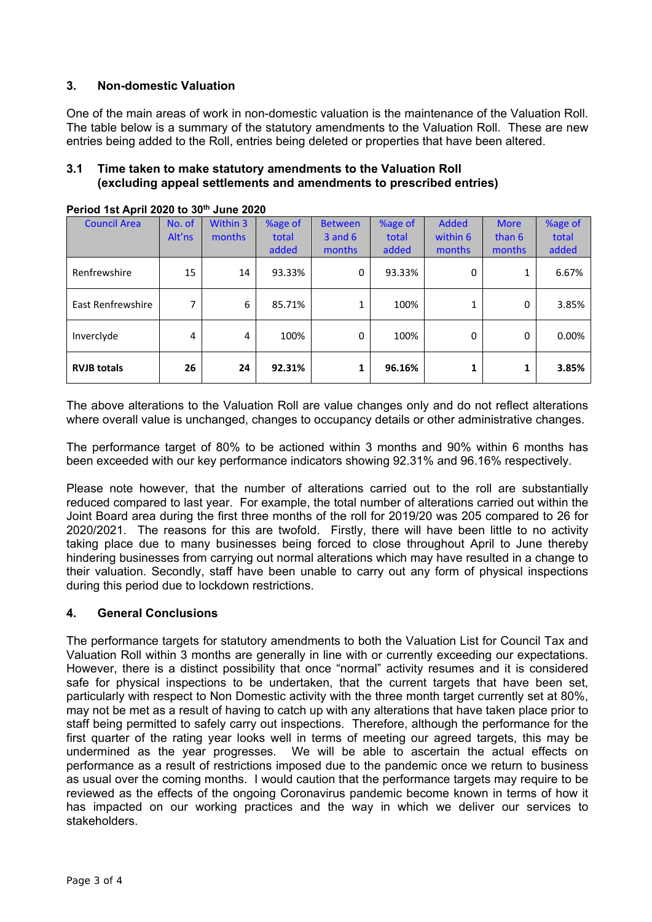# **3. Non-domestic Valuation**

One of the main areas of work in non-domestic valuation is the maintenance of the Valuation Roll. The table below is a summary of the statutory amendments to the Valuation Roll. These are new entries being added to the Roll, entries being deleted or properties that have been altered.

### **3.1 Time taken to make statutory amendments to the Valuation Roll (excluding appeal settlements and amendments to prescribed entries)**

| <b>Council Area</b> | No. of | <b>Within 3</b> | %age of | <b>Between</b> | %age of | <b>Added</b> | <b>More</b> | %age of |
|---------------------|--------|-----------------|---------|----------------|---------|--------------|-------------|---------|
|                     | Alt'ns | months          | total   | $3$ and $6$    | total   | within 6     | than 6      | total   |
|                     |        |                 | added   | months         | added   | months       | months      | added   |
| Renfrewshire        | 15     | 14              | 93.33%  | 0              | 93.33%  | 0            | 1           | 6.67%   |
| East Renfrewshire   | 7      | 6               | 85.71%  | 1              | 100%    | 1            | 0           | 3.85%   |
| Inverclyde          | 4      | 4               | 100%    | 0              | 100%    | 0            | 0           | 0.00%   |
| <b>RVJB totals</b>  | 26     | 24              | 92.31%  | 1              | 96.16%  | 1            |             | 3.85%   |

**Period 1st April 2020 to 30th June 2020** 

The above alterations to the Valuation Roll are value changes only and do not reflect alterations where overall value is unchanged, changes to occupancy details or other administrative changes.

The performance target of 80% to be actioned within 3 months and 90% within 6 months has been exceeded with our key performance indicators showing 92.31% and 96.16% respectively.

Please note however, that the number of alterations carried out to the roll are substantially reduced compared to last year. For example, the total number of alterations carried out within the Joint Board area during the first three months of the roll for 2019/20 was 205 compared to 26 for 2020/2021. The reasons for this are twofold. Firstly, there will have been little to no activity taking place due to many businesses being forced to close throughout April to June thereby hindering businesses from carrying out normal alterations which may have resulted in a change to their valuation. Secondly, staff have been unable to carry out any form of physical inspections during this period due to lockdown restrictions.

## **4. General Conclusions**

The performance targets for statutory amendments to both the Valuation List for Council Tax and Valuation Roll within 3 months are generally in line with or currently exceeding our expectations. However, there is a distinct possibility that once "normal" activity resumes and it is considered safe for physical inspections to be undertaken, that the current targets that have been set, particularly with respect to Non Domestic activity with the three month target currently set at 80%, may not be met as a result of having to catch up with any alterations that have taken place prior to staff being permitted to safely carry out inspections. Therefore, although the performance for the first quarter of the rating year looks well in terms of meeting our agreed targets, this may be undermined as the year progresses. We will be able to ascertain the actual effects on performance as a result of restrictions imposed due to the pandemic once we return to business as usual over the coming months. I would caution that the performance targets may require to be reviewed as the effects of the ongoing Coronavirus pandemic become known in terms of how it has impacted on our working practices and the way in which we deliver our services to stakeholders.